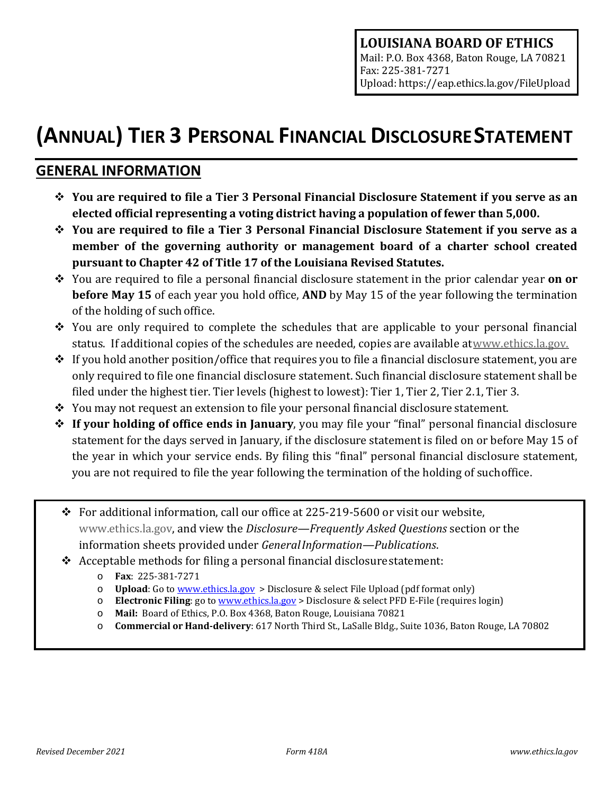# **(ANNUAL) TIER 3 PERSONAL FINANCIAL DISCLOSURESTATEMENT**

# **GENERAL INFORMATION**

- **You are required to file a Tier 3 Personal Financial Disclosure Statement if you serve as an elected official representing a voting district having a population of fewer than 5,000.**
- **You are required to file a Tier 3 Personal Financial Disclosure Statement if you serve as a member of the governing authority or management board of a charter school created pursuant to Chapter 42 of Title 17 of the Louisiana Revised Statutes.**
- You are required to file a personal financial disclosure statement in the prior calendar year **on or before May 15** of each year you hold office, **AND** by May 15 of the year following the termination of the holding of such office.
- $\div$  You are only required to complete the schedules that are applicable to your personal financial status. If additional copies of the schedules are needed, copies are available a[twww.ethics.la.gov.](http://www.ethics.state.la.us/)
- $\hat{P}$  If you hold another position/office that requires you to file a financial disclosure statement, you are only required to file one financial disclosure statement. Such financial disclosure statement shall be filed under the highest tier. Tier levels (highest to lowest): Tier 1, Tier 2, Tier 2.1, Tier 3.
- $\cdot$  You may not request an extension to file your personal financial disclosure statement.
- **If your holding of office ends in January**, you may file your "final" personal financial disclosure statement for the days served in January, if the disclosure statement is filed on or before May 15 of the year in which your service ends. By filing this "final" personal financial disclosure statement, you are not required to file the year following the termination of the holding of suchoffice.
- For additional information, call our office at 225-219-5600 or visit our website, [www.ethics.la.gov,](http://www.ethics.la.gov/) and view the *Disclosure—Frequently Asked Questions* section or the information sheets provided under *GeneralInformation—Publications*.
- $\triangleleft$  Acceptable methods for filing a personal financial disclosure statement:
	- o **Fax**: 225-381-7271
	- o **Upload**: Go to [www.ethics.la.gov](http://www.ethics.la.gov/) > Disclosure & select File Upload (pdf format only)
	- o **Electronic Filing**: go to [www.ethics.la.gov](http://www.ethics.la.gov/) > Disclosure & select PFD E-File (requires login)
	- o **Mail:** Board of Ethics, P.O. Box 4368, Baton Rouge, Louisiana 70821
	- o **Commercial or Hand-delivery**: 617 North Third St., LaSalle Bldg., Suite 1036, Baton Rouge, LA 70802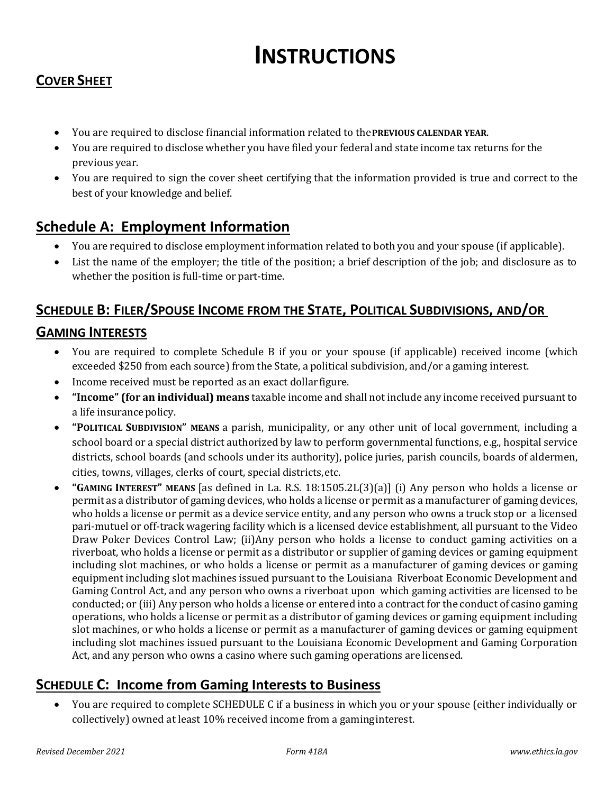# **INSTRUCTIONS**

# **COVER SHEET**

- You are required to disclose financial information related to the**PREVIOUS CALENDAR YEAR**.
- You are required to disclose whether you have filed your federal and state income tax returns for the previous year.
- You are required to sign the cover sheet certifying that the information provided is true and correct to the best of your knowledge and belief.

# **Schedule A: Employment Information**

- You are required to disclose employment information related to both you and your spouse (if applicable).
- List the name of the employer; the title of the position; a brief description of the job; and disclosure as to whether the position is full-time or part-time.

### **SCHEDULE B: FILER/SPOUSE INCOME FROM THE STATE, POLITICAL SUBDIVISIONS, AND/OR**

### **GAMING INTERESTS**

- You are required to complete Schedule B if you or your spouse (if applicable) received income (which exceeded \$250 from each source) from the State, a political subdivision, and/or a gaming interest.
- Income received must be reported as an exact dollarfigure.
- **"Income" (for an individual) means** taxable income and shall not include any income received pursuant to a life insurance policy.
- **"POLITICAL SUBDIVISION" MEANS** a parish, municipality, or any other unit of local government, including a school board or a special district authorized by law to perform governmental functions, e.g., hospital service districts, school boards (and schools under its authority), police juries, parish councils, boards of aldermen, cities, towns, villages, clerks of court, special districts,etc.
- **"GAMING INTEREST" MEANS** [as defined in La. R.S. 18:1505.2L(3)(a)] (i) Any person who holds a license or permit as a distributor of gaming devices, who holds a license or permit as a manufacturer of gaming devices, who holds a license or permit as a device service entity, and any person who owns a truck stop or a licensed pari-mutuel or off-track wagering facility which is a licensed device establishment, all pursuant to the Video Draw Poker Devices Control Law; (ii)Any person who holds a license to conduct gaming activities on a riverboat, who holds a license or permit as a distributor or supplier of gaming devices or gaming equipment including slot machines, or who holds a license or permit as a manufacturer of gaming devices or gaming equipment including slot machines issued pursuant to the Louisiana Riverboat Economic Development and Gaming Control Act, and any person who owns a riverboat upon which gaming activities are licensed to be conducted; or (iii) Any person who holds a license or entered into a contract for the conduct of casino gaming operations, who holds a license or permit as a distributor of gaming devices or gaming equipment including slot machines, or who holds a license or permit as a manufacturer of gaming devices or gaming equipment including slot machines issued pursuant to the Louisiana Economic Development and Gaming Corporation Act, and any person who owns a casino where such gaming operations are licensed.

### **SCHEDULE C: Income from Gaming Interests to Business**

• You are required to complete SCHEDULE C if a business in which you or your spouse (either individually or collectively) owned at least 10% received income from a gaminginterest.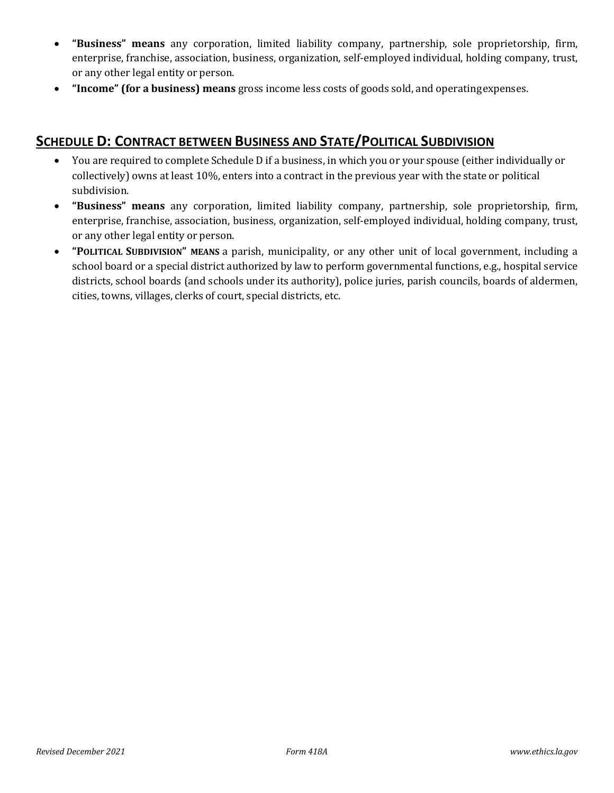- **"Business" means** any corporation, limited liability company, partnership, sole proprietorship, firm, enterprise, franchise, association, business, organization, self-employed individual, holding company, trust, or any other legal entity or person.
- **"Income" (for a business) means** gross income less costs of goods sold, and operatingexpenses.

## **SCHEDULE D: CONTRACT BETWEEN BUSINESS AND STATE/POLITICAL SUBDIVISION**

- You are required to complete Schedule D if a business, in which you or your spouse (either individually or collectively) owns at least 10%, enters into a contract in the previous year with the state or political subdivision.
- **"Business" means** any corporation, limited liability company, partnership, sole proprietorship, firm, enterprise, franchise, association, business, organization, self-employed individual, holding company, trust, or any other legal entity or person.
- **"POLITICAL SUBDIVISION" MEANS** a parish, municipality, or any other unit of local government, including a school board or a special district authorized by law to perform governmental functions, e.g., hospital service districts, school boards (and schools under its authority), police juries, parish councils, boards of aldermen, cities, towns, villages, clerks of court, special districts, etc.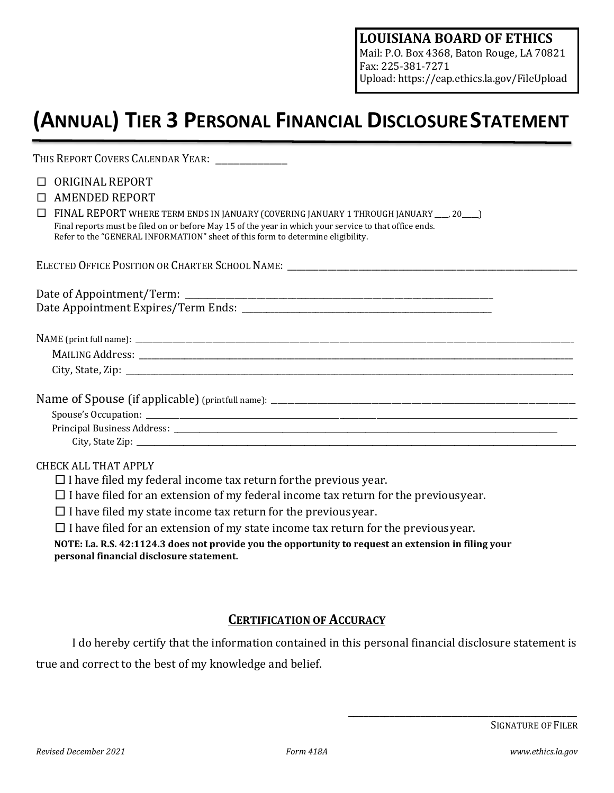Mail: P.O. Box 4368, Baton Rouge, LA 70821 Fax: 225-381-7271 Upload: https://eap.ethics.la.gov/FileUpload

# **(ANNUAL) TIER 3 PERSONAL FINANCIAL DISCLOSURESTATEMENT**

| THIS REPORT COVERS CALENDAR YEAR: \[\]                                                                                                                                                    |
|-------------------------------------------------------------------------------------------------------------------------------------------------------------------------------------------|
| ORIGINAL REPORT<br>П                                                                                                                                                                      |
| <b>AMENDED REPORT</b><br>П                                                                                                                                                                |
| FINAL REPORT WHERE TERM ENDS IN JANUARY (COVERING JANUARY 1 THROUGH JANUARY __ , 20 __ )<br>П                                                                                             |
| Final reports must be filed on or before May 15 of the year in which your service to that office ends.<br>Refer to the "GENERAL INFORMATION" sheet of this form to determine eligibility. |
|                                                                                                                                                                                           |
| ELECTED OFFICE POSITION OR CHARTER SCHOOL NAME: _________________________________                                                                                                         |
|                                                                                                                                                                                           |
|                                                                                                                                                                                           |
|                                                                                                                                                                                           |
|                                                                                                                                                                                           |
|                                                                                                                                                                                           |
|                                                                                                                                                                                           |
|                                                                                                                                                                                           |
|                                                                                                                                                                                           |
|                                                                                                                                                                                           |
|                                                                                                                                                                                           |
|                                                                                                                                                                                           |
| <b>CHECK ALL THAT APPLY</b>                                                                                                                                                               |
| $\Box$ I have filed my federal income tax return for the previous year.                                                                                                                   |
| $\Box$ I have filed for an extension of my federal income tax return for the previous year.                                                                                               |
| $\Box$ I have filed my state income tax return for the previous year.                                                                                                                     |
|                                                                                                                                                                                           |

 $\square$  I have filed for an extension of my state income tax return for the previous year.

**NOTE: La. R.S. 42:1124.3 does not provide you the opportunity to request an extension in filing your personal financial disclosure statement.**

### **CERTIFICATION OF ACCURACY**

I do hereby certify that the information contained in this personal financial disclosure statement is true and correct to the best of my knowledge and belief.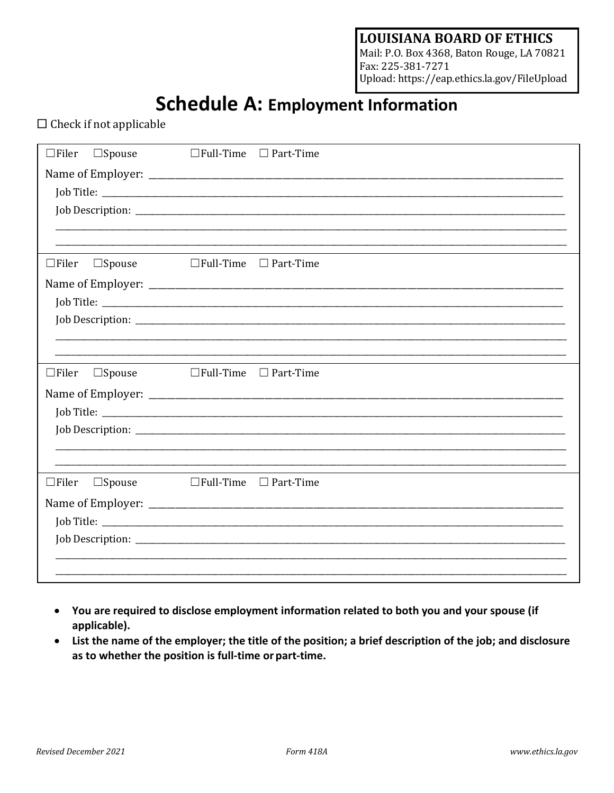Mail: P.O. Box 4368, Baton Rouge, LA 70821 Fax: 225-381-7271 Upload: https://eap.ethics.la.gov/FileUpload

# **Schedule A: Employment Information**

 $\Box$  Check if not applicable

| $\Box$ Filer<br>$\square$ Spouse |                  | $\Box$ Full-Time $\Box$ Part-Time |
|----------------------------------|------------------|-----------------------------------|
|                                  |                  |                                   |
|                                  |                  |                                   |
|                                  |                  |                                   |
|                                  |                  |                                   |
|                                  |                  |                                   |
| $\square$ Spouse<br>$\Box$ Filer |                  | $\Box$ Full-Time $\Box$ Part-Time |
|                                  |                  |                                   |
|                                  |                  |                                   |
|                                  |                  |                                   |
|                                  |                  |                                   |
|                                  |                  |                                   |
|                                  |                  |                                   |
| $\Box$ Filer<br>$\square$ Spouse |                  | $\Box$ Full-Time $\Box$ Part-Time |
|                                  |                  |                                   |
|                                  |                  |                                   |
|                                  |                  |                                   |
|                                  |                  |                                   |
|                                  |                  |                                   |
| $\Box$ Filer<br>$\square$ Spouse | $\Box$ Full-Time | $\Box$ Part-Time                  |
|                                  |                  |                                   |
|                                  |                  |                                   |
|                                  |                  |                                   |
|                                  |                  |                                   |

- You are required to disclose employment information related to both you and your spouse (if applicable).
- List the name of the employer; the title of the position; a brief description of the job; and disclosure as to whether the position is full-time or part-time.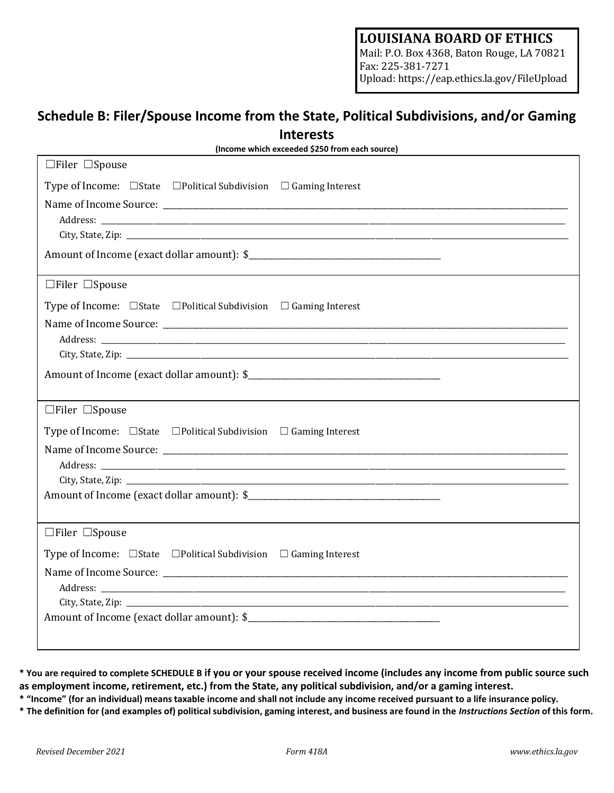Mail: P.O. Box 4368, Baton Rouge, LA 70821 Fax: 225-381-7271 Upload: https://eap.ethics.la.gov/FileUpload

# **Schedule B: Filer/Spouse Income from the State, Political Subdivisions, and/or Gaming Interests**

| (Income which exceeded \$250 from each source)                                   |  |  |
|----------------------------------------------------------------------------------|--|--|
| $\Box$ Filer $\Box$ Spouse                                                       |  |  |
| Type of Income: $\Box$ State $\Box$ Political Subdivision $\Box$ Gaming Interest |  |  |
|                                                                                  |  |  |
|                                                                                  |  |  |
|                                                                                  |  |  |
|                                                                                  |  |  |
| $\Box$ Filer $\Box$ Spouse                                                       |  |  |
| Type of Income: $\Box$ State $\Box$ Political Subdivision $\Box$ Gaming Interest |  |  |
|                                                                                  |  |  |
|                                                                                  |  |  |
|                                                                                  |  |  |
|                                                                                  |  |  |
| $\Box$ Filer $\Box$ Spouse                                                       |  |  |
| Type of Income: $\Box$ State $\Box$ Political Subdivision $\Box$ Gaming Interest |  |  |
|                                                                                  |  |  |
|                                                                                  |  |  |
|                                                                                  |  |  |
|                                                                                  |  |  |
| $\Box$ Filer $\Box$ Spouse                                                       |  |  |
| Type of Income: $\Box$ State $\Box$ Political Subdivision $\Box$ Gaming Interest |  |  |
|                                                                                  |  |  |
|                                                                                  |  |  |
|                                                                                  |  |  |
|                                                                                  |  |  |
|                                                                                  |  |  |

**\* You are required to complete SCHEDULE B if you or your spouse received income (includes any income from public source such as employment income, retirement, etc.) from the State, any political subdivision, and/or a gaming interest.**

\* "Income" (for an individual) means taxable income and shall not include any income received pursuant to a life insurance policy.

\* The definition for (and examples of) political subdivision, gaming interest, and business are found in the Instructions Section of this form.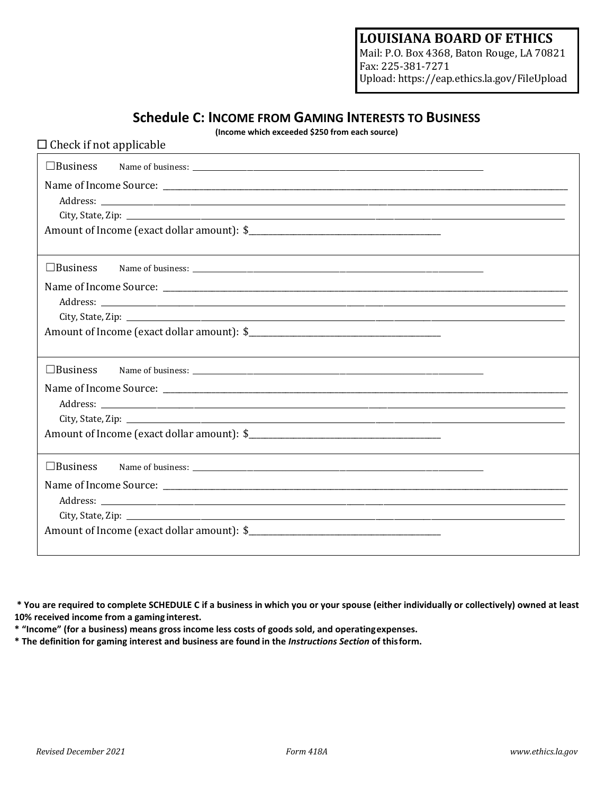Mail: P.O. Box 4368, Baton Rouge, LA 70821 Fax: 225-381-7271 Upload: https://eap.ethics.la.gov/FileUpload

### **Schedule C: INCOME FROM GAMING INTERESTS TO BUSINESS**

**(Income which exceeded \$250 from each source)**

| $\Box$ Check if not applicable |  |  |
|--------------------------------|--|--|
| $\Box$ Business                |  |  |
|                                |  |  |
|                                |  |  |
|                                |  |  |
|                                |  |  |
|                                |  |  |
| $\Box$ Business                |  |  |
|                                |  |  |
|                                |  |  |
|                                |  |  |
|                                |  |  |
|                                |  |  |
| $\Box$ Business                |  |  |
|                                |  |  |
|                                |  |  |
|                                |  |  |
|                                |  |  |
|                                |  |  |
| $\Box$ Business                |  |  |
|                                |  |  |
|                                |  |  |
|                                |  |  |
|                                |  |  |
|                                |  |  |

**\* You are required to complete SCHEDULE C if a business in which you or your spouse (either individually or collectively) owned at least 10% received income from a gaming interest.**

**\* "Income" (for a business) means gross income less costs of goods sold, and operatingexpenses.**

**\* The definition for gaming interest and business are found in the** *Instructions Section* **of thisform.**